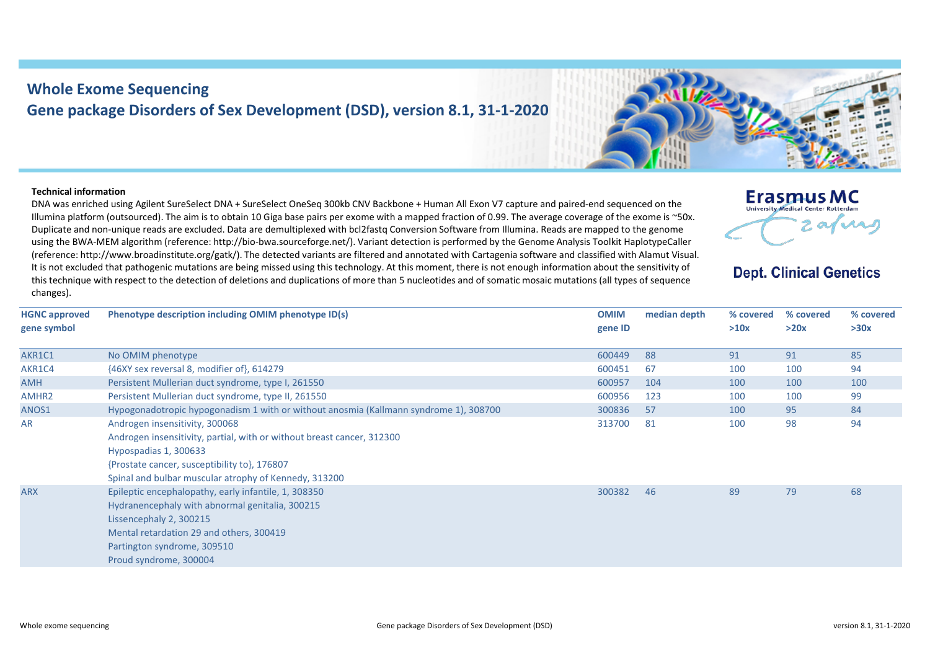## **Whole Exome Sequencing Gene package Disorders of Sex Development (DSD), version 8.1, 31-1-2020**



## **Technical information**

DNA was enriched using Agilent SureSelect DNA + SureSelect OneSeq 300kb CNV Backbone + Human All Exon V7 capture and paired-end sequenced on the Illumina platform (outsourced). The aim is to obtain 10 Giga base pairs per exome with a mapped fraction of 0.99. The average coverage of the exome is ~50x. Duplicate and non-unique reads are excluded. Data are demultiplexed with bcl2fastq Conversion Software from Illumina. Reads are mapped to the genome using the BWA-MEM algorithm (reference: http://bio-bwa.sourceforge.net/). Variant detection is performed by the Genome Analysis Toolkit HaplotypeCaller (reference: http://www.broadinstitute.org/gatk/). The detected variants are filtered and annotated with Cartagenia software and classified with Alamut Visual. It is not excluded that pathogenic mutations are being missed using this technology. At this moment, there is not enough information about the sensitivity of this technique with respect to the detection of deletions and duplications of more than 5 nucleotides and of somatic mosaic mutations (all types of sequence changes).



## **Dept. Clinical Genetics**

| <b>HGNC</b> approved<br>gene symbol | Phenotype description including OMIM phenotype ID(s)                                                                                                                                                                                       | <b>OMIM</b><br>gene ID | median depth | % covered<br>>10x | % covered<br>>20x | % covered<br>>30x |
|-------------------------------------|--------------------------------------------------------------------------------------------------------------------------------------------------------------------------------------------------------------------------------------------|------------------------|--------------|-------------------|-------------------|-------------------|
| AKR1C1                              | No OMIM phenotype                                                                                                                                                                                                                          | 600449                 | 88           | 91                | 91                | 85                |
| AKR1C4                              | {46XY sex reversal 8, modifier of}, 614279                                                                                                                                                                                                 | 600451                 | 67           | 100               | 100               | 94                |
| <b>AMH</b>                          | Persistent Mullerian duct syndrome, type I, 261550                                                                                                                                                                                         | 600957                 | 104          | 100               | 100               | 100               |
| AMHR <sub>2</sub>                   | Persistent Mullerian duct syndrome, type II, 261550                                                                                                                                                                                        | 600956                 | 123          | 100               | 100               | 99                |
| ANOS1                               | Hypogonadotropic hypogonadism 1 with or without anosmia (Kallmann syndrome 1), 308700                                                                                                                                                      | 300836                 | 57           | 100               | 95                | 84                |
| AR                                  | Androgen insensitivity, 300068<br>Androgen insensitivity, partial, with or without breast cancer, 312300<br>Hypospadias 1, 300633<br>{Prostate cancer, susceptibility to}, 176807<br>Spinal and bulbar muscular atrophy of Kennedy, 313200 | 313700                 | 81           | 100               | 98                | 94                |
| <b>ARX</b>                          | Epileptic encephalopathy, early infantile, 1, 308350<br>Hydranencephaly with abnormal genitalia, 300215<br>Lissencephaly 2, 300215<br>Mental retardation 29 and others, 300419<br>Partington syndrome, 309510<br>Proud syndrome, 300004    | 300382                 | 46           | 89                | 79                | 68                |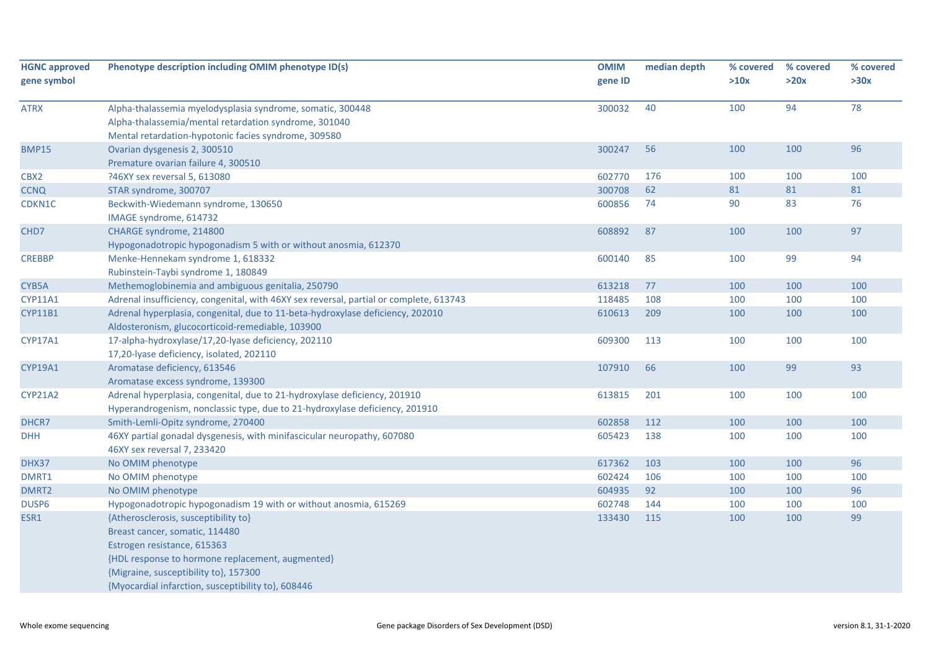| <b>HGNC approved</b> | Phenotype description including OMIM phenotype ID(s)                                   | <b>OMIM</b> | median depth | % covered | % covered | % covered |
|----------------------|----------------------------------------------------------------------------------------|-------------|--------------|-----------|-----------|-----------|
| gene symbol          |                                                                                        | gene ID     |              | >10x      | >20x      | >30x      |
| <b>ATRX</b>          | Alpha-thalassemia myelodysplasia syndrome, somatic, 300448                             | 300032      | 40           | 100       | 94        | 78        |
|                      | Alpha-thalassemia/mental retardation syndrome, 301040                                  |             |              |           |           |           |
|                      | Mental retardation-hypotonic facies syndrome, 309580                                   |             |              |           |           |           |
| <b>BMP15</b>         | Ovarian dysgenesis 2, 300510                                                           | 300247      | 56           | 100       | 100       | 96        |
|                      | Premature ovarian failure 4, 300510                                                    |             |              |           |           |           |
| CBX2                 | ?46XY sex reversal 5, 613080                                                           | 602770      | 176          | 100       | 100       | 100       |
| <b>CCNQ</b>          | STAR syndrome, 300707                                                                  | 300708      | 62           | 81        | 81        | 81        |
| CDKN1C               | Beckwith-Wiedemann syndrome, 130650                                                    | 600856      | 74           | 90        | 83        | 76        |
|                      | IMAGE syndrome, 614732                                                                 |             |              |           |           |           |
| CHD7                 | CHARGE syndrome, 214800                                                                | 608892      | 87           | 100       | 100       | 97        |
|                      | Hypogonadotropic hypogonadism 5 with or without anosmia, 612370                        |             |              |           |           |           |
| <b>CREBBP</b>        | Menke-Hennekam syndrome 1, 618332                                                      | 600140      | 85           | 100       | 99        | 94        |
|                      | Rubinstein-Taybi syndrome 1, 180849                                                    |             |              |           |           |           |
| CYB5A                | Methemoglobinemia and ambiguous genitalia, 250790                                      | 613218      | 77           | 100       | 100       | 100       |
| <b>CYP11A1</b>       | Adrenal insufficiency, congenital, with 46XY sex reversal, partial or complete, 613743 | 118485      | 108          | 100       | 100       | 100       |
| <b>CYP11B1</b>       | Adrenal hyperplasia, congenital, due to 11-beta-hydroxylase deficiency, 202010         | 610613      | 209          | 100       | 100       | 100       |
|                      | Aldosteronism, glucocorticoid-remediable, 103900                                       |             |              |           |           |           |
| <b>CYP17A1</b>       | 17-alpha-hydroxylase/17,20-lyase deficiency, 202110                                    | 609300      | 113          | 100       | 100       | 100       |
|                      | 17,20-lyase deficiency, isolated, 202110                                               |             |              |           |           |           |
| CYP19A1              | Aromatase deficiency, 613546                                                           | 107910      | 66           | 100       | 99        | 93        |
|                      | Aromatase excess syndrome, 139300                                                      |             |              |           |           |           |
| <b>CYP21A2</b>       | Adrenal hyperplasia, congenital, due to 21-hydroxylase deficiency, 201910              | 613815      | 201          | 100       | 100       | 100       |
|                      | Hyperandrogenism, nonclassic type, due to 21-hydroxylase deficiency, 201910            |             |              |           |           |           |
| DHCR7                | Smith-Lemli-Opitz syndrome, 270400                                                     | 602858      | 112          | 100       | 100       | 100       |
| <b>DHH</b>           | 46XY partial gonadal dysgenesis, with minifascicular neuropathy, 607080                | 605423      | 138          | 100       | 100       | 100       |
|                      | 46XY sex reversal 7, 233420                                                            |             |              |           |           |           |
| DHX37                | No OMIM phenotype                                                                      | 617362      | 103          | 100       | 100       | 96        |
| DMRT1                | No OMIM phenotype                                                                      | 602424      | 106          | 100       | 100       | 100       |
| DMRT2                | No OMIM phenotype                                                                      | 604935      | 92           | 100       | 100       | 96        |
| DUSP <sub>6</sub>    | Hypogonadotropic hypogonadism 19 with or without anosmia, 615269                       | 602748      | 144          | 100       | 100       | 100       |
| ESR1                 | {Atherosclerosis, susceptibility to}                                                   | 133430      | 115          | 100       | 100       | 99        |
|                      | Breast cancer, somatic, 114480                                                         |             |              |           |           |           |
|                      | Estrogen resistance, 615363                                                            |             |              |           |           |           |
|                      | {HDL response to hormone replacement, augmented}                                       |             |              |           |           |           |
|                      | {Migraine, susceptibility to}, 157300                                                  |             |              |           |           |           |
|                      | {Myocardial infarction, susceptibility to}, 608446                                     |             |              |           |           |           |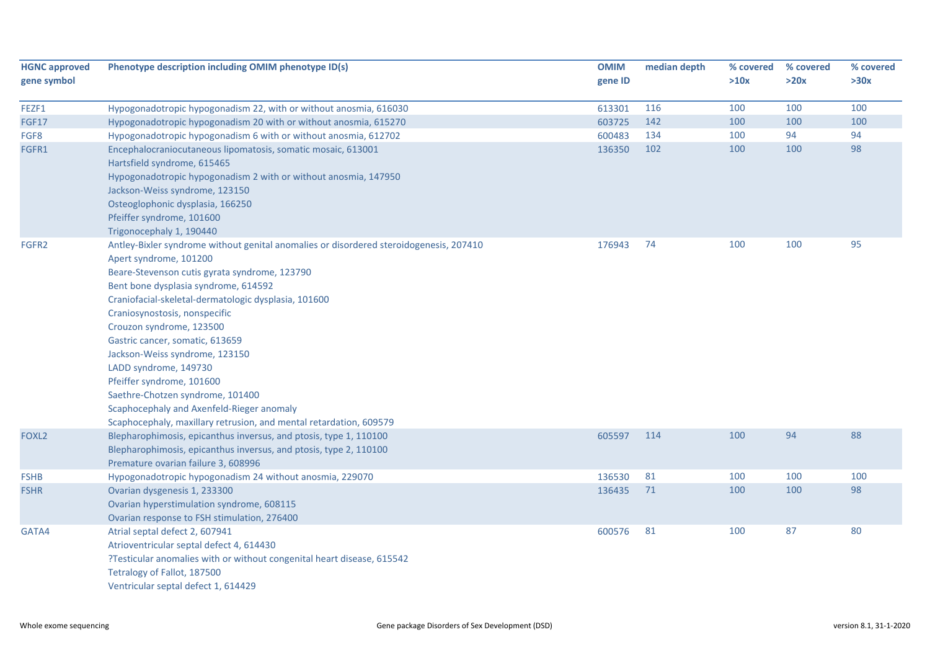| <b>HGNC approved</b> | Phenotype description including OMIM phenotype ID(s)                                   | <b>OMIM</b> | median depth | % covered | % covered | % covered |
|----------------------|----------------------------------------------------------------------------------------|-------------|--------------|-----------|-----------|-----------|
| gene symbol          |                                                                                        | gene ID     |              | >10x      | >20x      | >30x      |
| FEZF1                | Hypogonadotropic hypogonadism 22, with or without anosmia, 616030                      | 613301      | 116          | 100       | 100       | 100       |
| <b>FGF17</b>         | Hypogonadotropic hypogonadism 20 with or without anosmia, 615270                       | 603725      | 142          | 100       | 100       | 100       |
| FGF8                 | Hypogonadotropic hypogonadism 6 with or without anosmia, 612702                        | 600483      | 134          | 100       | 94        | 94        |
| FGFR1                | Encephalocraniocutaneous lipomatosis, somatic mosaic, 613001                           | 136350      | 102          | 100       | 100       | 98        |
|                      | Hartsfield syndrome, 615465                                                            |             |              |           |           |           |
|                      | Hypogonadotropic hypogonadism 2 with or without anosmia, 147950                        |             |              |           |           |           |
|                      | Jackson-Weiss syndrome, 123150                                                         |             |              |           |           |           |
|                      | Osteoglophonic dysplasia, 166250                                                       |             |              |           |           |           |
|                      | Pfeiffer syndrome, 101600                                                              |             |              |           |           |           |
|                      | Trigonocephaly 1, 190440                                                               |             |              |           |           |           |
| FGFR2                | Antley-Bixler syndrome without genital anomalies or disordered steroidogenesis, 207410 | 176943      | 74           | 100       | 100       | 95        |
|                      | Apert syndrome, 101200                                                                 |             |              |           |           |           |
|                      | Beare-Stevenson cutis gyrata syndrome, 123790                                          |             |              |           |           |           |
|                      | Bent bone dysplasia syndrome, 614592                                                   |             |              |           |           |           |
|                      | Craniofacial-skeletal-dermatologic dysplasia, 101600                                   |             |              |           |           |           |
|                      | Craniosynostosis, nonspecific                                                          |             |              |           |           |           |
|                      | Crouzon syndrome, 123500                                                               |             |              |           |           |           |
|                      | Gastric cancer, somatic, 613659                                                        |             |              |           |           |           |
|                      | Jackson-Weiss syndrome, 123150                                                         |             |              |           |           |           |
|                      | LADD syndrome, 149730                                                                  |             |              |           |           |           |
|                      | Pfeiffer syndrome, 101600                                                              |             |              |           |           |           |
|                      | Saethre-Chotzen syndrome, 101400                                                       |             |              |           |           |           |
|                      | Scaphocephaly and Axenfeld-Rieger anomaly                                              |             |              |           |           |           |
|                      | Scaphocephaly, maxillary retrusion, and mental retardation, 609579                     |             |              |           |           |           |
| FOXL <sub>2</sub>    | Blepharophimosis, epicanthus inversus, and ptosis, type 1, 110100                      | 605597      | 114          | 100       | 94        | 88        |
|                      | Blepharophimosis, epicanthus inversus, and ptosis, type 2, 110100                      |             |              |           |           |           |
|                      | Premature ovarian failure 3, 608996                                                    |             |              |           |           |           |
| <b>FSHB</b>          | Hypogonadotropic hypogonadism 24 without anosmia, 229070                               | 136530      | 81           | 100       | 100       | 100       |
| <b>FSHR</b>          | Ovarian dysgenesis 1, 233300                                                           | 136435      | 71           | 100       | 100       | 98        |
|                      | Ovarian hyperstimulation syndrome, 608115                                              |             |              |           |           |           |
|                      | Ovarian response to FSH stimulation, 276400                                            |             |              |           |           |           |
| GATA4                | Atrial septal defect 2, 607941                                                         | 600576      | 81           | 100       | 87        | 80        |
|                      | Atrioventricular septal defect 4, 614430                                               |             |              |           |           |           |
|                      | ?Testicular anomalies with or without congenital heart disease, 615542                 |             |              |           |           |           |
|                      | Tetralogy of Fallot, 187500                                                            |             |              |           |           |           |
|                      | Ventricular septal defect 1, 614429                                                    |             |              |           |           |           |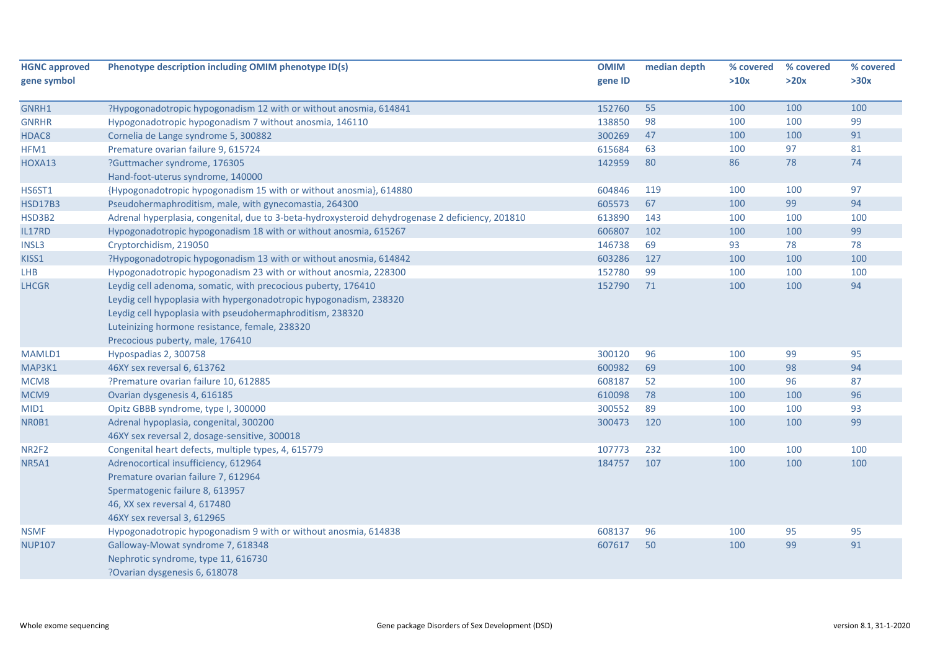| <b>HGNC approved</b> | Phenotype description including OMIM phenotype ID(s)                                             | <b>OMIM</b> | median depth | % covered | % covered | % covered |
|----------------------|--------------------------------------------------------------------------------------------------|-------------|--------------|-----------|-----------|-----------|
| gene symbol          |                                                                                                  | gene ID     |              | >10x      | >20x      | >30x      |
| GNRH1                | ?Hypogonadotropic hypogonadism 12 with or without anosmia, 614841                                | 152760      | 55           | 100       | 100       | 100       |
| <b>GNRHR</b>         | Hypogonadotropic hypogonadism 7 without anosmia, 146110                                          | 138850      | 98           | 100       | 100       | 99        |
| HDAC8                | Cornelia de Lange syndrome 5, 300882                                                             | 300269      | 47           | 100       | 100       | 91        |
| HFM1                 | Premature ovarian failure 9, 615724                                                              | 615684      | 63           | 100       | 97        | 81        |
| HOXA13               | ?Guttmacher syndrome, 176305                                                                     | 142959      | 80           | 86        | 78        | 74        |
|                      | Hand-foot-uterus syndrome, 140000                                                                |             |              |           |           |           |
| <b>HS6ST1</b>        | {Hypogonadotropic hypogonadism 15 with or without anosmia}, 614880                               | 604846      | 119          | 100       | 100       | 97        |
| <b>HSD17B3</b>       | Pseudohermaphroditism, male, with gynecomastia, 264300                                           | 605573      | 67           | 100       | 99        | 94        |
| HSD3B2               | Adrenal hyperplasia, congenital, due to 3-beta-hydroxysteroid dehydrogenase 2 deficiency, 201810 | 613890      | 143          | 100       | 100       | 100       |
| IL17RD               | Hypogonadotropic hypogonadism 18 with or without anosmia, 615267                                 | 606807      | 102          | 100       | 100       | 99        |
| INSL3                | Cryptorchidism, 219050                                                                           | 146738      | 69           | 93        | 78        | 78        |
| KISS1                | ?Hypogonadotropic hypogonadism 13 with or without anosmia, 614842                                | 603286      | 127          | 100       | 100       | 100       |
| LHB                  | Hypogonadotropic hypogonadism 23 with or without anosmia, 228300                                 | 152780      | 99           | 100       | 100       | 100       |
| <b>LHCGR</b>         | Leydig cell adenoma, somatic, with precocious puberty, 176410                                    | 152790      | 71           | 100       | 100       | 94        |
|                      | Leydig cell hypoplasia with hypergonadotropic hypogonadism, 238320                               |             |              |           |           |           |
|                      | Leydig cell hypoplasia with pseudohermaphroditism, 238320                                        |             |              |           |           |           |
|                      | Luteinizing hormone resistance, female, 238320                                                   |             |              |           |           |           |
|                      | Precocious puberty, male, 176410                                                                 |             |              |           |           |           |
| MAMLD1               | Hypospadias 2, 300758                                                                            | 300120      | 96           | 100       | 99        | 95        |
| MAP3K1               | 46XY sex reversal 6, 613762                                                                      | 600982      | 69           | 100       | 98        | 94        |
| MCM8                 | ?Premature ovarian failure 10, 612885                                                            | 608187      | 52           | 100       | 96        | 87        |
| MCM9                 | Ovarian dysgenesis 4, 616185                                                                     | 610098      | 78           | 100       | 100       | 96        |
| MID1                 | Opitz GBBB syndrome, type I, 300000                                                              | 300552      | 89           | 100       | 100       | 93        |
| NR0B1                | Adrenal hypoplasia, congenital, 300200                                                           | 300473      | 120          | 100       | 100       | 99        |
|                      | 46XY sex reversal 2, dosage-sensitive, 300018                                                    |             |              |           |           |           |
| NR2F2                | Congenital heart defects, multiple types, 4, 615779                                              | 107773      | 232          | 100       | 100       | 100       |
| NR5A1                | Adrenocortical insufficiency, 612964                                                             | 184757      | 107          | 100       | 100       | 100       |
|                      | Premature ovarian failure 7, 612964                                                              |             |              |           |           |           |
|                      | Spermatogenic failure 8, 613957                                                                  |             |              |           |           |           |
|                      | 46, XX sex reversal 4, 617480                                                                    |             |              |           |           |           |
|                      | 46XY sex reversal 3, 612965                                                                      |             |              |           |           |           |
| <b>NSMF</b>          | Hypogonadotropic hypogonadism 9 with or without anosmia, 614838                                  | 608137      | 96           | 100       | 95        | 95        |
| <b>NUP107</b>        | Galloway-Mowat syndrome 7, 618348                                                                | 607617      | 50           | 100       | 99        | 91        |
|                      | Nephrotic syndrome, type 11, 616730                                                              |             |              |           |           |           |
|                      | ?Ovarian dysgenesis 6, 618078                                                                    |             |              |           |           |           |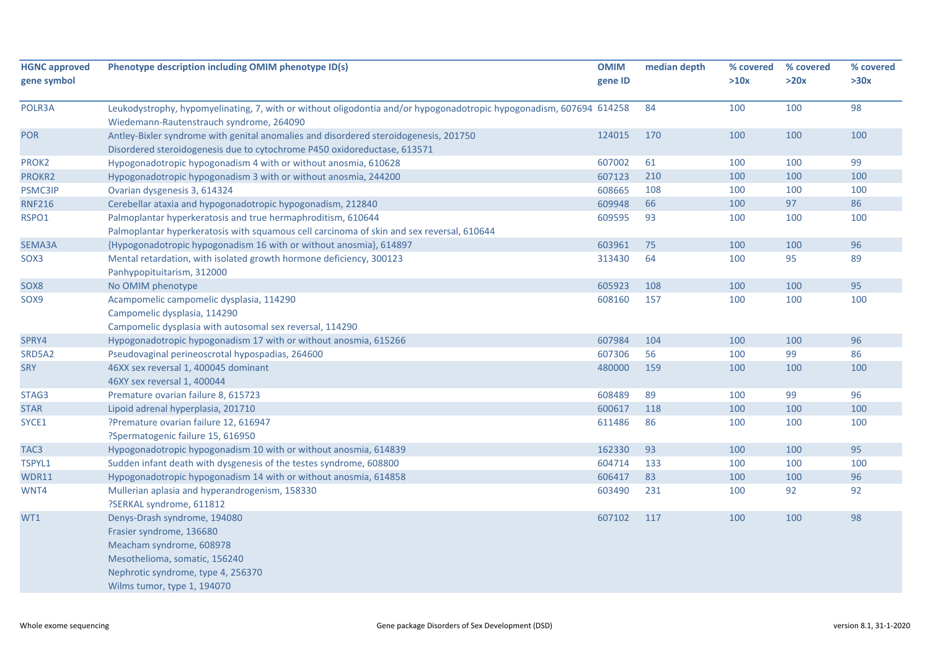| <b>HGNC approved</b><br>gene symbol | Phenotype description including OMIM phenotype ID(s)                                                                                                                                       | <b>OMIM</b><br>gene ID | median depth | % covered<br>>10x | % covered<br>>20x | % covered<br>>30x |
|-------------------------------------|--------------------------------------------------------------------------------------------------------------------------------------------------------------------------------------------|------------------------|--------------|-------------------|-------------------|-------------------|
| POLR3A                              | Leukodystrophy, hypomyelinating, 7, with or without oligodontia and/or hypogonadotropic hypogonadism, 607694 614258<br>Wiedemann-Rautenstrauch syndrome, 264090                            |                        | 84           | 100               | 100               | 98                |
| <b>POR</b>                          | Antley-Bixler syndrome with genital anomalies and disordered steroidogenesis, 201750<br>Disordered steroidogenesis due to cytochrome P450 oxidoreductase, 613571                           | 124015                 | 170          | 100               | 100               | 100               |
| PROK2                               | Hypogonadotropic hypogonadism 4 with or without anosmia, 610628                                                                                                                            | 607002                 | 61           | 100               | 100               | 99                |
| PROKR2                              | Hypogonadotropic hypogonadism 3 with or without anosmia, 244200                                                                                                                            | 607123                 | 210          | 100               | 100               | 100               |
| PSMC3IP                             | Ovarian dysgenesis 3, 614324                                                                                                                                                               | 608665                 | 108          | 100               | 100               | 100               |
| <b>RNF216</b>                       | Cerebellar ataxia and hypogonadotropic hypogonadism, 212840                                                                                                                                | 609948                 | 66           | 100               | 97                | 86                |
| RSPO1                               | Palmoplantar hyperkeratosis and true hermaphroditism, 610644                                                                                                                               | 609595                 | 93           | 100               | 100               | 100               |
|                                     | Palmoplantar hyperkeratosis with squamous cell carcinoma of skin and sex reversal, 610644                                                                                                  |                        |              |                   |                   |                   |
| SEMA3A                              | {Hypogonadotropic hypogonadism 16 with or without anosmia}, 614897                                                                                                                         | 603961                 | 75           | 100               | 100               | 96                |
| SOX3                                | Mental retardation, with isolated growth hormone deficiency, 300123<br>Panhypopituitarism, 312000                                                                                          | 313430                 | 64           | 100               | 95                | 89                |
| SOX8                                | No OMIM phenotype                                                                                                                                                                          | 605923                 | 108          | 100               | 100               | 95                |
| SOX9                                | Acampomelic campomelic dysplasia, 114290<br>Campomelic dysplasia, 114290<br>Campomelic dysplasia with autosomal sex reversal, 114290                                                       | 608160                 | 157          | 100               | 100               | 100               |
| SPRY4                               | Hypogonadotropic hypogonadism 17 with or without anosmia, 615266                                                                                                                           | 607984                 | 104          | 100               | 100               | 96                |
| SRD5A2                              | Pseudovaginal perineoscrotal hypospadias, 264600                                                                                                                                           | 607306                 | 56           | 100               | 99                | 86                |
| <b>SRY</b>                          | 46XX sex reversal 1, 400045 dominant<br>46XY sex reversal 1, 400044                                                                                                                        | 480000                 | 159          | 100               | 100               | 100               |
| STAG3                               | Premature ovarian failure 8, 615723                                                                                                                                                        | 608489                 | 89           | 100               | 99                | 96                |
| <b>STAR</b>                         | Lipoid adrenal hyperplasia, 201710                                                                                                                                                         | 600617                 | 118          | 100               | 100               | 100               |
| SYCE1                               | ?Premature ovarian failure 12, 616947<br>?Spermatogenic failure 15, 616950                                                                                                                 | 611486                 | 86           | 100               | 100               | 100               |
| TAC <sub>3</sub>                    | Hypogonadotropic hypogonadism 10 with or without anosmia, 614839                                                                                                                           | 162330                 | 93           | 100               | 100               | 95                |
| TSPYL1                              | Sudden infant death with dysgenesis of the testes syndrome, 608800                                                                                                                         | 604714                 | 133          | 100               | 100               | 100               |
| <b>WDR11</b>                        | Hypogonadotropic hypogonadism 14 with or without anosmia, 614858                                                                                                                           | 606417                 | 83           | 100               | 100               | 96                |
| WNT4                                | Mullerian aplasia and hyperandrogenism, 158330<br>?SERKAL syndrome, 611812                                                                                                                 | 603490                 | 231          | 100               | 92                | 92                |
| WT1                                 | Denys-Drash syndrome, 194080<br>Frasier syndrome, 136680<br>Meacham syndrome, 608978<br>Mesothelioma, somatic, 156240<br>Nephrotic syndrome, type 4, 256370<br>Wilms tumor, type 1, 194070 | 607102                 | 117          | 100               | 100               | 98                |